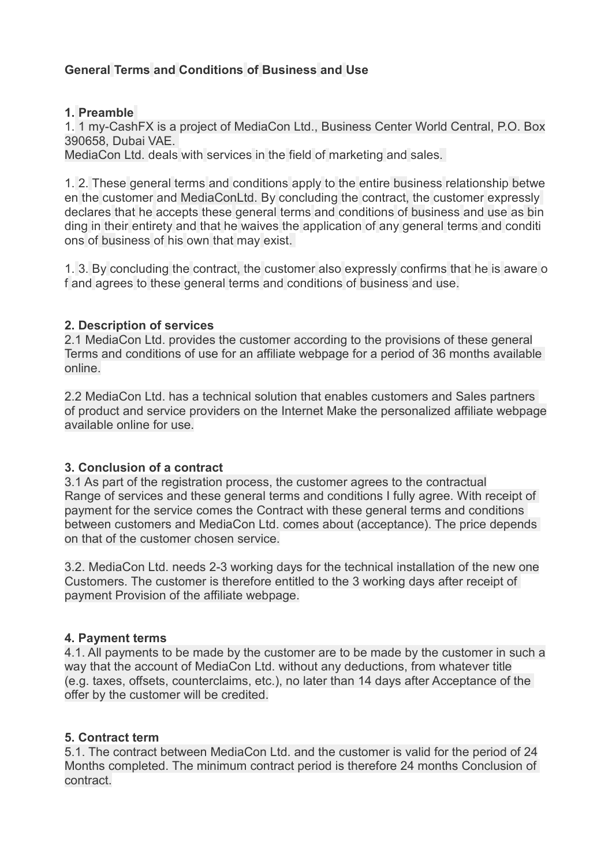# **General Terms and Conditions of Business and Use**

### **1. Preamble**

1. 1 my-CashFX is a project of MediaCon Ltd., Business Center World Central, P.O. Box 390658, Dubai VAE.

MediaCon Ltd. deals with services in the field of marketing and sales.

1. 2. These general terms and conditions apply to the entire business relationship betwe en the customer and MediaConLtd. By concluding the contract, the customer expressly declares that he accepts these general terms and conditions of business and use as bin ding in their entirety and that he waives the application of any general terms and conditi ons of business of his own that may exist.

1. 3. By concluding the contract, the customer also expressly confirms that he is aware o f and agrees to these general terms and conditions of business and use.

### **2. Description of services**

2.1 MediaCon Ltd. provides the customer according to the provisions of these general Terms and conditions of use for an affiliate webpage for a period of 36 months available online.

2.2 MediaCon Ltd. has a technical solution that enables customers and Sales partners of product and service providers on the Internet Make the personalized affiliate webpage available online for use.

## **3. Conclusion of a contract**

3.1 As part of the registration process, the customer agrees to the contractual Range of services and these general terms and conditions I fully agree. With receipt of payment for the service comes the Contract with these general terms and conditions between customers and MediaCon Ltd. comes about (acceptance). The price depends on that of the customer chosen service.

3.2. MediaCon Ltd. needs 2-3 working days for the technical installation of the new one Customers. The customer is therefore entitled to the 3 working days after receipt of payment Provision of the affiliate webpage.

#### **4. Payment terms**

4.1. All payments to be made by the customer are to be made by the customer in such a way that the account of MediaCon Ltd. without any deductions, from whatever title (e.g. taxes, offsets, counterclaims, etc.), no later than 14 days after Acceptance of the offer by the customer will be credited.

## **5. Contract term**

5.1. The contract between MediaCon Ltd. and the customer is valid for the period of 24 Months completed. The minimum contract period is therefore 24 months Conclusion of contract.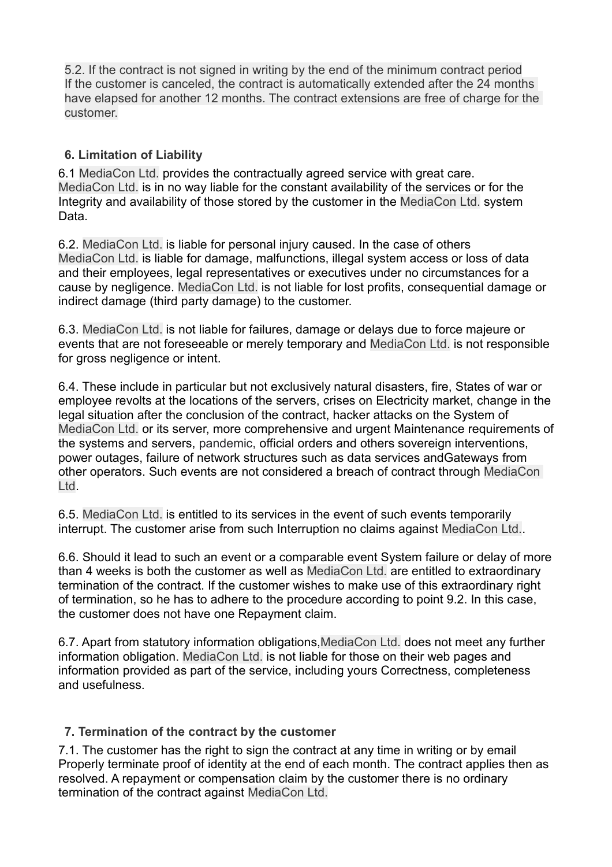5.2. If the contract is not signed in writing by the end of the minimum contract period If the customer is canceled, the contract is automatically extended after the 24 months have elapsed for another 12 months. The contract extensions are free of charge for the customer.

## **6. Limitation of Liability**

6.1 MediaCon Ltd. provides the contractually agreed service with great care. MediaCon Ltd. is in no way liable for the constant availability of the services or for the Integrity and availability of those stored by the customer in the MediaCon Ltd. system Data.

6.2. MediaCon Ltd. is liable for personal injury caused. In the case of others MediaCon Ltd. is liable for damage, malfunctions, illegal system access or loss of data and their employees, legal representatives or executives under no circumstances for a cause by negligence. MediaCon Ltd. is not liable for lost profits, consequential damage or indirect damage (third party damage) to the customer.

6.3. MediaCon Ltd. is not liable for failures, damage or delays due to force majeure or events that are not foreseeable or merely temporary and MediaCon Ltd. is not responsible for gross negligence or intent.

6.4. These include in particular but not exclusively natural disasters, fire, States of war or employee revolts at the locations of the servers, crises on Electricity market, change in the legal situation after the conclusion of the contract, hacker attacks on the System of MediaCon Ltd. or its server, more comprehensive and urgent Maintenance requirements of the systems and servers, pandemic, official orders and others sovereign interventions, power outages, failure of network structures such as data services andGateways from other operators. Such events are not considered a breach of contract through MediaCon Ltd.

6.5. MediaCon Ltd. is entitled to its services in the event of such events temporarily interrupt. The customer arise from such Interruption no claims against MediaCon Ltd..

6.6. Should it lead to such an event or a comparable event System failure or delay of more than 4 weeks is both the customer as well as MediaCon Ltd. are entitled to extraordinary termination of the contract. If the customer wishes to make use of this extraordinary right of termination, so he has to adhere to the procedure according to point 9.2. In this case, the customer does not have one Repayment claim.

6.7. Apart from statutory information obligations,MediaCon Ltd. does not meet any further information obligation. MediaCon Ltd. is not liable for those on their web pages and information provided as part of the service, including yours Correctness, completeness and usefulness.

## **7. Termination of the contract by the customer**

7.1. The customer has the right to sign the contract at any time in writing or by email Properly terminate proof of identity at the end of each month. The contract applies then as resolved. A repayment or compensation claim by the customer there is no ordinary termination of the contract against MediaCon Ltd.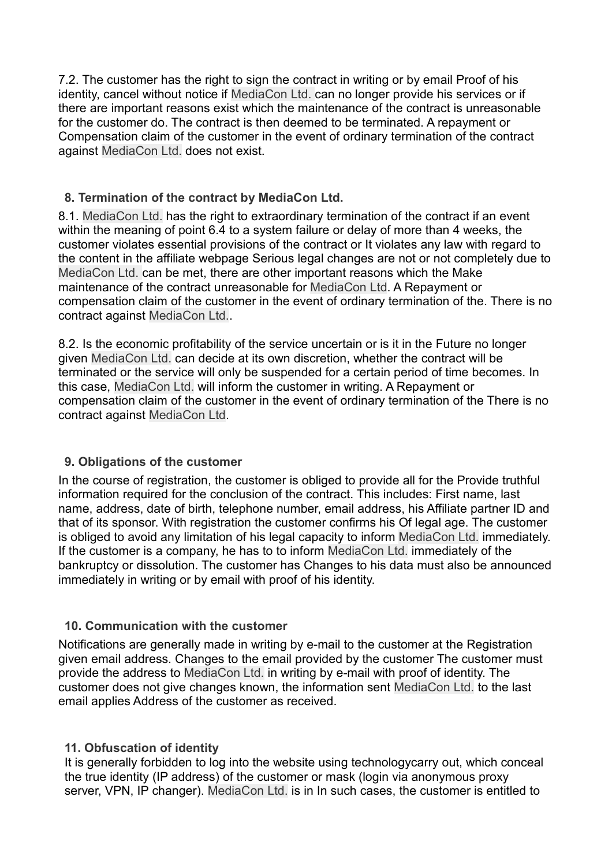7.2. The customer has the right to sign the contract in writing or by email Proof of his identity, cancel without notice if MediaCon Ltd. can no longer provide his services or if there are important reasons exist which the maintenance of the contract is unreasonable for the customer do. The contract is then deemed to be terminated. A repayment or Compensation claim of the customer in the event of ordinary termination of the contract against MediaCon Ltd. does not exist.

### **8. Termination of the contract by MediaCon Ltd.**

8.1. MediaCon Ltd. has the right to extraordinary termination of the contract if an event within the meaning of point 6.4 to a system failure or delay of more than 4 weeks, the customer violates essential provisions of the contract or It violates any law with regard to the content in the affiliate webpage Serious legal changes are not or not completely due to MediaCon Ltd. can be met, there are other important reasons which the Make maintenance of the contract unreasonable for MediaCon Ltd. A Repayment or compensation claim of the customer in the event of ordinary termination of the. There is no contract against MediaCon Ltd..

8.2. Is the economic profitability of the service uncertain or is it in the Future no longer given MediaCon Ltd. can decide at its own discretion, whether the contract will be terminated or the service will only be suspended for a certain period of time becomes. In this case, MediaCon Ltd. will inform the customer in writing. A Repayment or compensation claim of the customer in the event of ordinary termination of the There is no contract against MediaCon Ltd.

#### **9. Obligations of the customer**

In the course of registration, the customer is obliged to provide all for the Provide truthful information required for the conclusion of the contract. This includes: First name, last name, address, date of birth, telephone number, email address, his Affiliate partner ID and that of its sponsor. With registration the customer confirms his Of legal age. The customer is obliged to avoid any limitation of his legal capacity to inform MediaCon Ltd. immediately. If the customer is a company, he has to to inform MediaCon Ltd. immediately of the bankruptcy or dissolution. The customer has Changes to his data must also be announced immediately in writing or by email with proof of his identity.

#### **10. Communication with the customer**

Notifications are generally made in writing by e-mail to the customer at the Registration given email address. Changes to the email provided by the customer The customer must provide the address to MediaCon Ltd. in writing by e-mail with proof of identity. The customer does not give changes known, the information sent MediaCon Ltd. to the last email applies Address of the customer as received.

#### **11. Obfuscation of identity**

It is generally forbidden to log into the website using technologycarry out, which conceal the true identity (IP address) of the customer or mask (login via anonymous proxy server, VPN, IP changer). MediaCon Ltd. is in In such cases, the customer is entitled to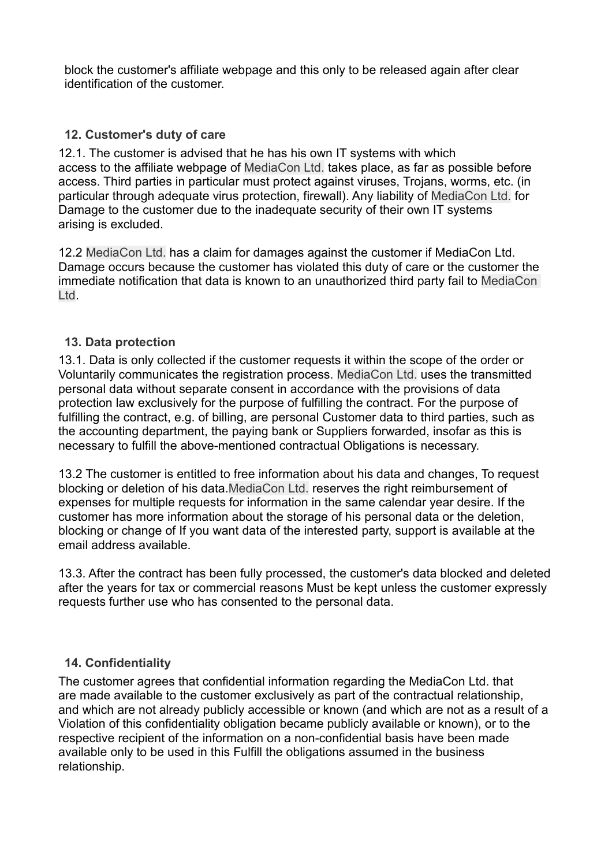block the customer's affiliate webpage and this only to be released again after clear identification of the customer.

## **12. Customer's duty of care**

12.1. The customer is advised that he has his own IT systems with which access to the affiliate webpage of MediaCon Ltd. takes place, as far as possible before access. Third parties in particular must protect against viruses, Trojans, worms, etc. (in particular through adequate virus protection, firewall). Any liability of MediaCon Ltd. for Damage to the customer due to the inadequate security of their own IT systems arising is excluded.

12.2 MediaCon Ltd. has a claim for damages against the customer if MediaCon Ltd. Damage occurs because the customer has violated this duty of care or the customer the immediate notification that data is known to an unauthorized third party fail to MediaCon Ltd.

## **13. Data protection**

13.1. Data is only collected if the customer requests it within the scope of the order or Voluntarily communicates the registration process. MediaCon Ltd. uses the transmitted personal data without separate consent in accordance with the provisions of data protection law exclusively for the purpose of fulfilling the contract. For the purpose of fulfilling the contract, e.g. of billing, are personal Customer data to third parties, such as the accounting department, the paying bank or Suppliers forwarded, insofar as this is necessary to fulfill the above-mentioned contractual Obligations is necessary.

13.2 The customer is entitled to free information about his data and changes, To request blocking or deletion of his data.MediaCon Ltd. reserves the right reimbursement of expenses for multiple requests for information in the same calendar year desire. If the customer has more information about the storage of his personal data or the deletion, blocking or change of If you want data of the interested party, support is available at the email address available.

13.3. After the contract has been fully processed, the customer's data blocked and deleted after the years for tax or commercial reasons Must be kept unless the customer expressly requests further use who has consented to the personal data.

## **14. Confidentiality**

The customer agrees that confidential information regarding the MediaCon Ltd. that are made available to the customer exclusively as part of the contractual relationship, and which are not already publicly accessible or known (and which are not as a result of a Violation of this confidentiality obligation became publicly available or known), or to the respective recipient of the information on a non-confidential basis have been made available only to be used in this Fulfill the obligations assumed in the business relationship.